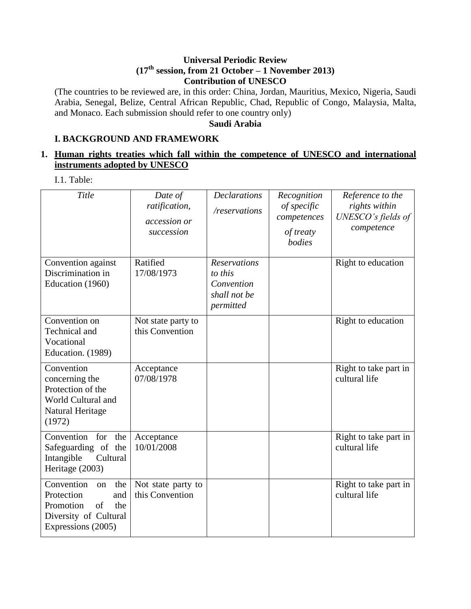### **Universal Periodic Review (17th session, from 21 October – 1 November 2013) Contribution of UNESCO**

(The countries to be reviewed are, in this order: China, Jordan, Mauritius, Mexico, Nigeria, Saudi Arabia, Senegal, Belize, Central African Republic, Chad, Republic of Congo, Malaysia, Malta, and Monaco. Each submission should refer to one country only)

**Saudi Arabia**

# **I. BACKGROUND AND FRAMEWORK**

# **1. Human rights treaties which fall within the competence of UNESCO and international instruments adopted by UNESCO**

I.1. Table:

| Title                                                                                                                 | Date of<br>ratification,<br>accession or<br>succession | <b>Declarations</b><br>/reservations                                      | Recognition<br>of specific<br>competences<br>of treaty<br>bodies | Reference to the<br>rights within<br>UNESCO's fields of<br>competence |
|-----------------------------------------------------------------------------------------------------------------------|--------------------------------------------------------|---------------------------------------------------------------------------|------------------------------------------------------------------|-----------------------------------------------------------------------|
| Convention against<br>Discrimination in<br>Education (1960)                                                           | Ratified<br>17/08/1973                                 | <b>Reservations</b><br>to this<br>Convention<br>shall not be<br>permitted |                                                                  | Right to education                                                    |
| Convention on<br>Technical and<br>Vocational<br>Education. (1989)                                                     | Not state party to<br>this Convention                  |                                                                           |                                                                  | Right to education                                                    |
| Convention<br>concerning the<br>Protection of the<br>World Cultural and<br>Natural Heritage<br>(1972)                 | Acceptance<br>07/08/1978                               |                                                                           |                                                                  | Right to take part in<br>cultural life                                |
| Convention<br>for<br>the<br>Safeguarding of the<br>Intangible<br>Cultural<br>Heritage (2003)                          | Acceptance<br>10/01/2008                               |                                                                           |                                                                  | Right to take part in<br>cultural life                                |
| Convention<br>the<br>on<br>Protection<br>and<br>Promotion<br>of<br>the<br>Diversity of Cultural<br>Expressions (2005) | Not state party to<br>this Convention                  |                                                                           |                                                                  | Right to take part in<br>cultural life                                |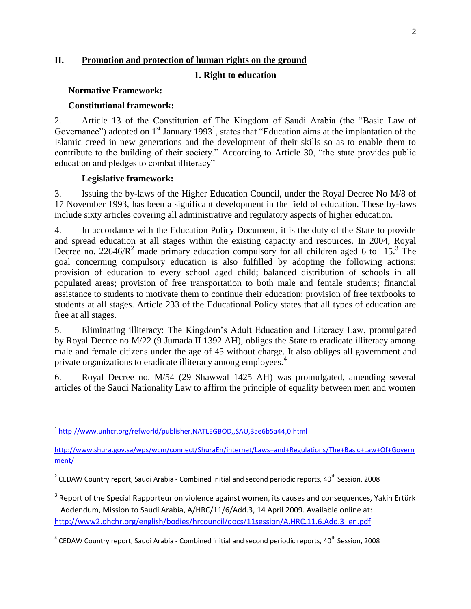# **II. Promotion and protection of human rights on the ground**

#### **1. Right to education**

#### **Normative Framework:**

#### **Constitutional framework:**

2. Article 13 of the Constitution of The Kingdom of Saudi Arabia (the "Basic Law of Governance") adopted on  $1<sup>st</sup>$  January 1993<sup>1</sup>, states that "Education aims at the implantation of the Islamic creed in new generations and the development of their skills so as to enable them to contribute to the building of their society." According to Article 30, "the state provides public education and pledges to combat illiteracy"

#### **Legislative framework:**

l

3. Issuing the by-laws of the Higher Education Council, under the Royal Decree No M/8 of 17 November 1993, has been a significant development in the field of education. These by-laws include sixty articles covering all administrative and regulatory aspects of higher education.

4. In accordance with the Education Policy Document, it is the duty of the State to provide and spread education at all stages within the existing capacity and resources. In 2004, Royal Decree no. 22646/ $R^2$  made primary education compulsory for all children aged 6 to 15.<sup>3</sup> The goal concerning compulsory education is also fulfilled by adopting the following actions: provision of education to every school aged child; balanced distribution of schools in all populated areas; provision of free transportation to both male and female students; financial assistance to students to motivate them to continue their education; provision of free textbooks to students at all stages. Article 233 of the Educational Policy states that all types of education are free at all stages.

5. Eliminating illiteracy: The Kingdom's Adult Education and Literacy Law, promulgated by Royal Decree no M/22 (9 Jumada II 1392 AH), obliges the State to eradicate illiteracy among male and female citizens under the age of 45 without charge. It also obliges all government and private organizations to eradicate illiteracy among employees.<sup>4</sup>

6. Royal Decree no. M/54 (29 Shawwal 1425 AH) was promulgated, amending several articles of the Saudi Nationality Law to affirm the principle of equality between men and women

<sup>&</sup>lt;sup>1</sup> <http://www.unhcr.org/refworld/publisher,NATLEGBOD,,SAU,3ae6b5a44,0.html>

[http://www.shura.gov.sa/wps/wcm/connect/ShuraEn/internet/Laws+and+Regulations/The+Basic+Law+Of+Govern](http://www.shura.gov.sa/wps/wcm/connect/ShuraEn/internet/Laws+and+Regulations/The+Basic+Law+Of+Government/) [ment/](http://www.shura.gov.sa/wps/wcm/connect/ShuraEn/internet/Laws+and+Regulations/The+Basic+Law+Of+Government/)

 $^2$  CEDAW Country report, Saudi Arabia - Combined initial and second periodic reports, 40<sup>th</sup> Session, 2008

 $3$  Report of the Special Rapporteur on violence against women, its causes and consequences, Yakin Ertürk – Addendum, Mission to Saudi Arabia, A/HRC/11/6/Add.3, 14 April 2009. Available online at: [http://www2.ohchr.org/english/bodies/hrcouncil/docs/11session/A.HRC.11.6.Add.3\\_en.pdf](http://www2.ohchr.org/english/bodies/hrcouncil/docs/11session/A.HRC.11.6.Add.3_en.pdf) 

 $^4$  CEDAW Country report, Saudi Arabia - Combined initial and second periodic reports, 40<sup>th</sup> Session, 2008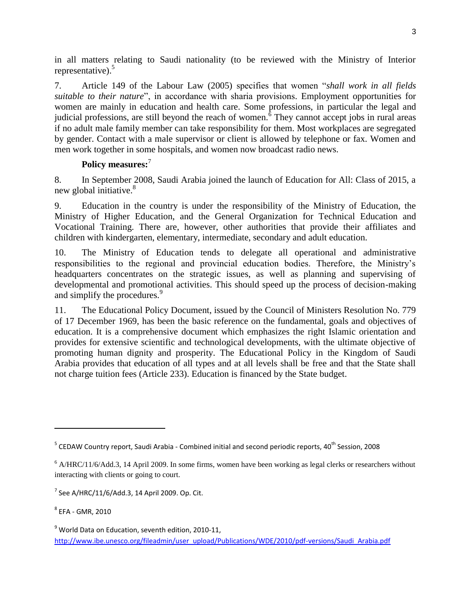in all matters relating to Saudi nationality (to be reviewed with the Ministry of Interior representative). $5$ 

7. Article 149 of the Labour Law (2005) specifies that women "*shall work in all fields suitable to their nature*", in accordance with sharia provisions. Employment opportunities for women are mainly in education and health care. Some professions, in particular the legal and judicial professions, are still beyond the reach of women.  $\delta$  They cannot accept jobs in rural areas if no adult male family member can take responsibility for them. Most workplaces are segregated by gender. Contact with a male supervisor or client is allowed by telephone or fax. Women and men work together in some hospitals, and women now broadcast radio news.

# **Policy measures:**<sup>7</sup>

8. In September 2008, Saudi Arabia joined the launch of Education for All: Class of 2015, a new global initiative. $8<sup>8</sup>$ 

9. Education in the country is under the responsibility of the Ministry of Education, the Ministry of Higher Education, and the General Organization for Technical Education and Vocational Training. There are, however, other authorities that provide their affiliates and children with kindergarten, elementary, intermediate, secondary and adult education.

10. The Ministry of Education tends to delegate all operational and administrative responsibilities to the regional and provincial education bodies. Therefore, the Ministry's headquarters concentrates on the strategic issues, as well as planning and supervising of developmental and promotional activities. This should speed up the process of decision-making and simplify the procedures.<sup>9</sup>

11. The Educational Policy Document, issued by the Council of Ministers Resolution No. 779 of 17 December 1969, has been the basic reference on the fundamental, goals and objectives of education. It is a comprehensive document which emphasizes the right Islamic orientation and provides for extensive scientific and technological developments, with the ultimate objective of promoting human dignity and prosperity. The Educational Policy in the Kingdom of Saudi Arabia provides that education of all types and at all levels shall be free and that the State shall not charge tuition fees (Article 233). Education is financed by the State budget.

l

 $^5$  CEDAW Country report, Saudi Arabia - Combined initial and second periodic reports, 40<sup>th</sup> Session, 2008

 $6$  A/HRC/11/6/Add.3, 14 April 2009. In some firms, women have been working as legal clerks or researchers without interacting with clients or going to court.

 $7$  See A/HRC/11/6/Add.3, 14 April 2009. Op. Cit.

 $^8$  EFA - GMR, 2010

 $9$  World Data on Education, seventh edition, 2010-11, [http://www.ibe.unesco.org/fileadmin/user\\_upload/Publications/WDE/2010/pdf-versions/Saudi\\_Arabia.pdf](http://www.ibe.unesco.org/fileadmin/user_upload/Publications/WDE/2010/pdf-versions/Saudi_Arabia.pdf)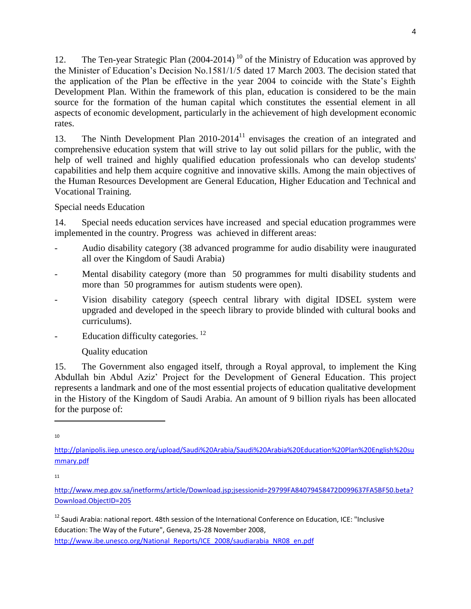12. The Ten-year Strategic Plan  $(2004-2014)^{10}$  of the Ministry of Education was approved by the Minister of Education's Decision No.1581/1/5 dated 17 March 2003. The decision stated that the application of the Plan be effective in the year 2004 to coincide with the State's Eighth Development Plan. Within the framework of this plan, education is considered to be the main source for the formation of the human capital which constitutes the essential element in all aspects of economic development, particularly in the achievement of high development economic rates.

13. The Ninth Development Plan  $2010-2014<sup>11</sup>$  envisages the creation of an integrated and comprehensive education system that will strive to lay out solid pillars for the public, with the help of well trained and highly qualified education professionals who can develop students' capabilities and help them acquire cognitive and innovative skills. Among the main objectives of the Human Resources Development are General Education, Higher Education and Technical and Vocational Training.

Special needs Education

14. Special needs education services have increased and special education programmes were implemented in the country. Progress was achieved in different areas:

- Audio disability category (38 advanced programme for audio disability were inaugurated all over the Kingdom of Saudi Arabia)
- Mental disability category (more than 50 programmes for multi disability students and more than 50 programmes for autism students were open).
- Vision disability category (speech central library with digital IDSEL system were upgraded and developed in the speech library to provide blinded with cultural books and curriculums).
- Education difficulty categories.<sup>12</sup>

# Quality education

15. The Government also engaged itself, through a Royal approval, to implement the King Abdullah bin Abdul Aziz' Project for the Development of General Education. This project represents a landmark and one of the most essential projects of education qualitative development in the History of the Kingdom of Saudi Arabia. An amount of 9 billion riyals has been allocated for the purpose of:

10

 $\overline{\phantom{a}}$ 

11

<sup>12</sup> Saudi Arabia: national report. 48th session of the International Conference on Education, ICE: "Inclusive Education: The Way of the Future", Geneva, 25-28 November 2008,

[http://www.ibe.unesco.org/National\\_Reports/ICE\\_2008/saudiarabia\\_NR08\\_en.pdf](http://www.ibe.unesco.org/National_Reports/ICE_2008/saudiarabia_NR08_en.pdf)

[http://planipolis.iiep.unesco.org/upload/Saudi%20Arabia/Saudi%20Arabia%20Education%20Plan%20English%20su](http://planipolis.iiep.unesco.org/upload/Saudi%20Arabia/Saudi%20Arabia%20Education%20Plan%20English%20summary.pdf) [mmary.pdf](http://planipolis.iiep.unesco.org/upload/Saudi%20Arabia/Saudi%20Arabia%20Education%20Plan%20English%20summary.pdf)

[http://www.mep.gov.sa/inetforms/article/Download.jsp;jsessionid=29799FA84079458472D099637FA5BF50.beta?](http://www.mep.gov.sa/inetforms/article/Download.jsp;jsessionid=29799FA84079458472D099637FA5BF50.beta?Download.ObjectID=205) [Download.ObjectID=205](http://www.mep.gov.sa/inetforms/article/Download.jsp;jsessionid=29799FA84079458472D099637FA5BF50.beta?Download.ObjectID=205)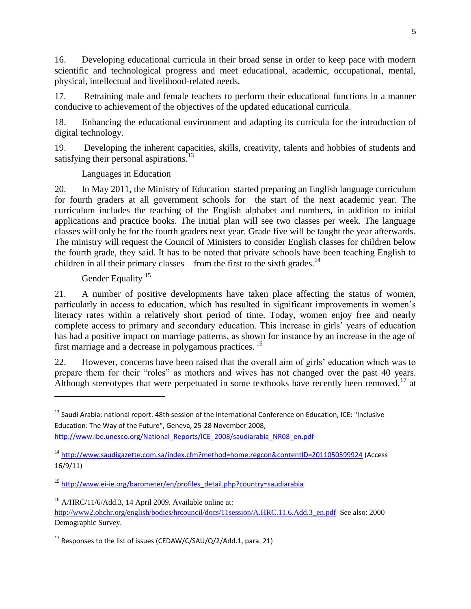16. Developing educational curricula in their broad sense in order to keep pace with modern scientific and technological progress and meet educational, academic, occupational, mental, physical, intellectual and livelihood-related needs.

17. Retraining male and female teachers to perform their educational functions in a manner conducive to achievement of the objectives of the updated educational curricula.

18. Enhancing the educational environment and adapting its curricula for the introduction of digital technology.

19. Developing the inherent capacities, skills, creativity, talents and hobbies of students and satisfying their personal aspirations.<sup>13</sup>

Languages in Education

20. In May 2011, the Ministry of Education started preparing an English language curriculum for fourth graders at all government schools for the start of the next academic year. The curriculum includes the teaching of the English alphabet and numbers, in addition to initial applications and practice books. The initial plan will see two classes per week. The language classes will only be for the fourth graders next year. Grade five will be taught the year afterwards. The ministry will request the Council of Ministers to consider English classes for children below the fourth grade, they said. It has to be noted that private schools have been teaching English to children in all their primary classes – from the first to the sixth grades.<sup>14</sup>

# Gender Equality<sup>15</sup>

l

21. A number of positive developments have taken place affecting the status of women, particularly in access to education, which has resulted in significant improvements in women's literacy rates within a relatively short period of time. Today, women enjoy free and nearly complete access to primary and secondary education. This increase in girls' years of education has had a positive impact on marriage patterns, as shown for instance by an increase in the age of first marriage and a decrease in polygamous practices. <sup>16</sup>

22. However, concerns have been raised that the overall aim of girls' education which was to prepare them for their "roles" as mothers and wives has not changed over the past 40 years. Although stereotypes that were perpetuated in some textbooks have recently been removed,  $17$  at

[http://www.ibe.unesco.org/National\\_Reports/ICE\\_2008/saudiarabia\\_NR08\\_en.pdf](http://www.ibe.unesco.org/National_Reports/ICE_2008/saudiarabia_NR08_en.pdf)

<sup>&</sup>lt;sup>13</sup> Saudi Arabia: national report. 48th session of the International Conference on Education, ICE: "Inclusive Education: The Way of the Future", Geneva, 25-28 November 2008,

<sup>14</sup> <http://www.saudigazette.com.sa/index.cfm?method=home.regcon&contentID=2011050599924> (Access 16/9/11)

<sup>15</sup> [http://www.ei-ie.org/barometer/en/profiles\\_detail.php?country=saudiarabia](http://www.ei-ie.org/barometer/en/profiles_detail.php?country=saudiarabia)

 $16$  A/HRC/11/6/Add.3, 14 April 2009. Available online at: [http://www2.ohchr.org/english/bodies/hrcouncil/docs/11session/A.HRC.11.6.Add.3\\_en.pdf](http://www2.ohchr.org/english/bodies/hrcouncil/docs/11session/A.HRC.11.6.Add.3_en.pdf) See also: 2000 Demographic Survey.

 $17$  Responses to the list of issues (CEDAW/C/SAU/Q/2/Add.1, para. 21)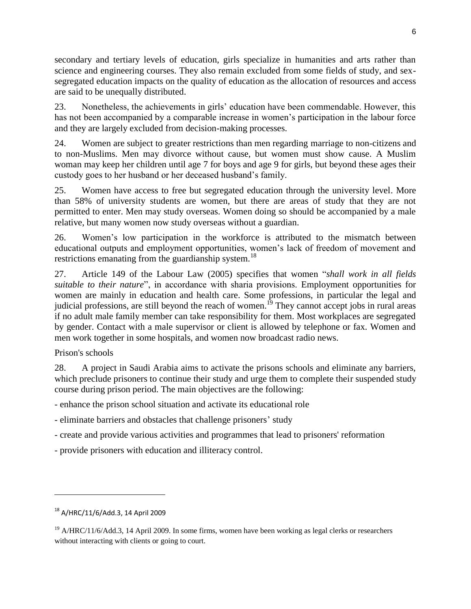secondary and tertiary levels of education, girls specialize in humanities and arts rather than science and engineering courses. They also remain excluded from some fields of study, and sexsegregated education impacts on the quality of education as the allocation of resources and access are said to be unequally distributed.

23. Nonetheless, the achievements in girls' education have been commendable. However, this has not been accompanied by a comparable increase in women's participation in the labour force and they are largely excluded from decision-making processes.

24. Women are subject to greater restrictions than men regarding marriage to non-citizens and to non-Muslims. Men may divorce without cause, but women must show cause. A Muslim woman may keep her children until age 7 for boys and age 9 for girls, but beyond these ages their custody goes to her husband or her deceased husband's family.

25. Women have access to free but segregated education through the university level. More than 58% of university students are women, but there are areas of study that they are not permitted to enter. Men may study overseas. Women doing so should be accompanied by a male relative, but many women now study overseas without a guardian.

26. Women's low participation in the workforce is attributed to the mismatch between educational outputs and employment opportunities, women's lack of freedom of movement and restrictions emanating from the guardianship system.<sup>18</sup>

27. Article 149 of the Labour Law (2005) specifies that women "*shall work in all fields suitable to their nature*", in accordance with sharia provisions. Employment opportunities for women are mainly in education and health care. Some professions, in particular the legal and judicial professions, are still beyond the reach of women.<sup>19</sup> They cannot accept jobs in rural areas if no adult male family member can take responsibility for them. Most workplaces are segregated by gender. Contact with a male supervisor or client is allowed by telephone or fax. Women and men work together in some hospitals, and women now broadcast radio news.

Prison's schools

 $\overline{\phantom{a}}$ 

28. A project in Saudi Arabia aims to activate the prisons schools and eliminate any barriers, which preclude prisoners to continue their study and urge them to complete their suspended study course during prison period. The main objectives are the following:

- enhance the prison school situation and activate its educational role

- eliminate barriers and obstacles that challenge prisoners' study

- create and provide various activities and programmes that lead to prisoners' reformation

- provide prisoners with education and illiteracy control.

<sup>18</sup> A/HRC/11/6/Add.3, 14 April 2009

<sup>&</sup>lt;sup>19</sup> A/HRC/11/6/Add.3, 14 April 2009. In some firms, women have been working as legal clerks or researchers without interacting with clients or going to court.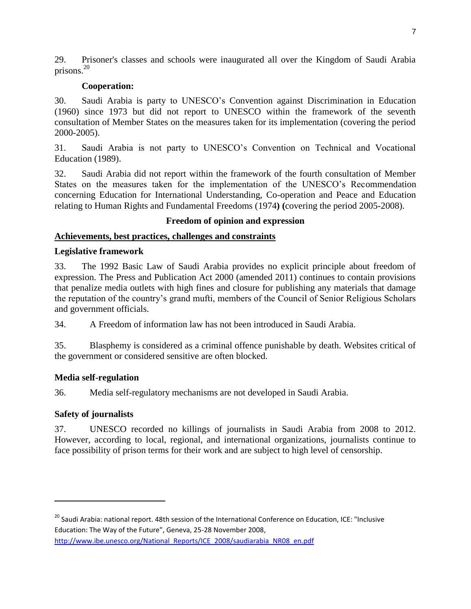29. Prisoner's classes and schools were inaugurated all over the Kingdom of Saudi Arabia prisons.<sup>20</sup>

### **Cooperation:**

30. Saudi Arabia is party to UNESCO's Convention against Discrimination in Education (1960) since 1973 but did not report to UNESCO within the framework of the seventh consultation of Member States on the measures taken for its implementation (covering the period 2000-2005).

31. Saudi Arabia is not party to UNESCO's Convention on Technical and Vocational Education (1989).

32. Saudi Arabia did not report within the framework of the fourth consultation of Member States on the measures taken for the implementation of the UNESCO's Recommendation concerning Education for International Understanding, Co-operation and Peace and Education relating to Human Rights and Fundamental Freedoms (1974**) (**covering the period 2005-2008).

# **Freedom of opinion and expression**

### **Achievements, best practices, challenges and constraints**

#### **Legislative framework**

33. The 1992 Basic Law of Saudi Arabia provides no explicit principle about freedom of expression. The Press and Publication Act 2000 (amended 2011) continues to contain provisions that penalize media outlets with high fines and closure for publishing any materials that damage the reputation of the country's grand mufti, members of the Council of Senior Religious Scholars and government officials.

34. A Freedom of information law has not been introduced in Saudi Arabia.

35. Blasphemy is considered as a criminal offence punishable by death. Websites critical of the government or considered sensitive are often blocked.

#### **Media self-regulation**

36. Media self-regulatory mechanisms are not developed in Saudi Arabia.

# **Safety of journalists**

l

37. UNESCO recorded no killings of journalists in Saudi Arabia from 2008 to 2012. However, according to local, regional, and international organizations, journalists continue to face possibility of prison terms for their work and are subject to high level of censorship.

[http://www.ibe.unesco.org/National\\_Reports/ICE\\_2008/saudiarabia\\_NR08\\_en.pdf](http://www.ibe.unesco.org/National_Reports/ICE_2008/saudiarabia_NR08_en.pdf)

<sup>&</sup>lt;sup>20</sup> Saudi Arabia: national report. 48th session of the International Conference on Education, ICE: "Inclusive Education: The Way of the Future", Geneva, 25-28 November 2008,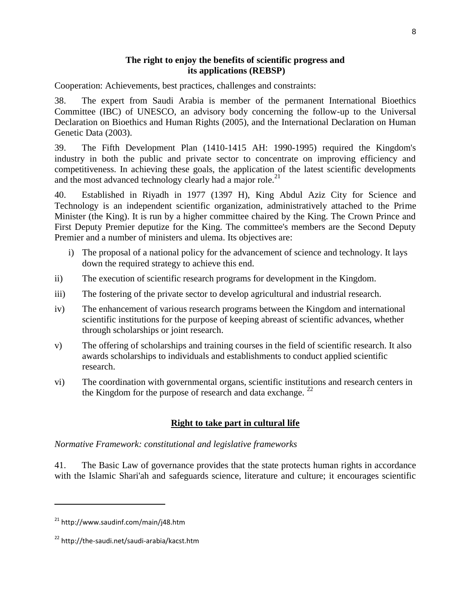### **The right to enjoy the benefits of scientific progress and its applications (REBSP)**

Cooperation: Achievements, best practices, challenges and constraints:

38. The expert from Saudi Arabia is member of the permanent International Bioethics Committee (IBC) of UNESCO, an advisory body concerning the follow-up to the Universal Declaration on Bioethics and Human Rights (2005), and the International Declaration on Human Genetic Data (2003).

39. The Fifth Development Plan (1410-1415 AH: 1990-1995) required the Kingdom's industry in both the public and private sector to concentrate on improving efficiency and competitiveness. In achieving these goals, the application of the latest scientific developments and the most advanced technology clearly had a major role.<sup>21</sup>

40. Established in Riyadh in 1977 (1397 H), [King Abdul Aziz City for Science and](http://www.kacst.edu.sa/)  [Technology](http://www.kacst.edu.sa/) is an independent scientific organization, administratively attached to the Prime Minister (the King). It is run by a higher committee chaired by the King. The Crown Prince and First Deputy Premier deputize for the King. The committee's members are the Second Deputy Premier and a number of ministers and ulema. Its objectives are:

- i) The proposal of a national policy for the advancement of science and technology. It lays down the required strategy to achieve this end.
- ii) The execution of scientific research programs for development in the Kingdom.
- iii) The fostering of the private sector to develop agricultural and industrial research.
- iv) The enhancement of various research programs between the Kingdom and international scientific institutions for the purpose of keeping abreast of scientific advances, whether through scholarships or joint research.
- v) The offering of scholarships and training courses in the field of scientific research. It also awards scholarships to individuals and establishments to conduct applied scientific research.
- vi) The coordination with governmental organs, scientific institutions and research centers in the Kingdom for the purpose of research and data exchange.  $^{22}$

# **Right to take part in cultural life**

*Normative Framework: constitutional and legislative frameworks*

41. The Basic Law of governance provides that the state protects human rights in accordance with the Islamic Shari'ah and safeguards science, literature and culture; it encourages scientific

l

<sup>21</sup> http://www.saudinf.com/main/j48.htm

<sup>22</sup> http://the-saudi.net/saudi-arabia/kacst.htm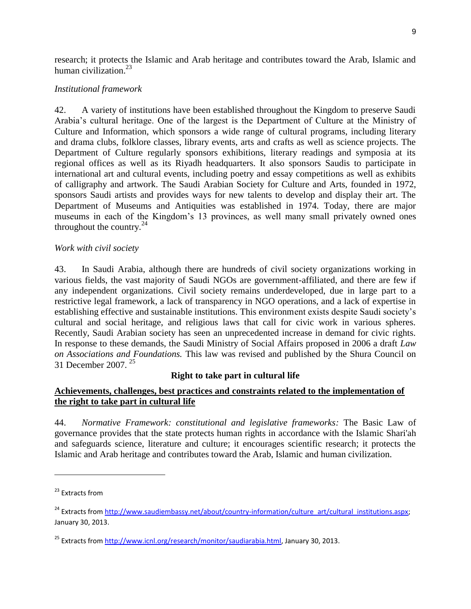research; it protects the Islamic and Arab heritage and contributes toward the Arab, Islamic and human civilization. $^{23}$ 

# *Institutional framework*

42. A variety of institutions have been established throughout the Kingdom to preserve Saudi Arabia's cultural heritage. One of the largest is the Department of Culture at the Ministry of Culture and Information, which sponsors a wide range of cultural programs, including literary and drama clubs, folklore classes, library events, arts and crafts as well as science projects. The Department of Culture regularly sponsors exhibitions, literary readings and symposia at its regional offices as well as its Riyadh headquarters. It also sponsors Saudis to participate in international art and cultural events, including poetry and essay competitions as well as exhibits of calligraphy and artwork. The Saudi Arabian Society for Culture and Arts, founded in 1972, sponsors Saudi artists and provides ways for new talents to develop and display their art. The Department of Museums and Antiquities was established in 1974. Today, there are major museums in each of the Kingdom's 13 provinces, as well many small privately owned ones throughout the country. $^{24}$ 

### *Work with civil society*

43. In Saudi Arabia, although there are hundreds of civil society organizations working in various fields, the vast majority of Saudi NGOs are government-affiliated, and there are few if any independent organizations. Civil society remains underdeveloped, due in large part to a restrictive legal framework, a lack of transparency in NGO operations, and a lack of expertise in establishing effective and sustainable institutions. This environment exists despite Saudi society's cultural and social heritage, and religious laws that call for civic work in various spheres. Recently, Saudi Arabian society has seen an unprecedented increase in demand for civic rights. In response to these demands, the Saudi Ministry of Social Affairs proposed in 2006 a draft *Law on Associations and Foundations.* This law was revised and published by the Shura Council on 31 December 2007. <sup>25</sup>

# **Right to take part in cultural life**

### **Achievements, challenges, best practices and constraints related to the implementation of the right to take part in cultural life**

44. *Normative Framework: constitutional and legislative frameworks:* The Basic Law of governance provides that the state protects human rights in accordance with the Islamic Shari'ah and safeguards science, literature and culture; it encourages scientific research; it protects the Islamic and Arab heritage and contributes toward the Arab, Islamic and human civilization.

 $\overline{\phantom{a}}$ 

<sup>&</sup>lt;sup>23</sup> Fxtracts from

<sup>&</sup>lt;sup>24</sup> Extracts from [http://www.saudiembassy.net/about/country-information/culture\\_art/cultural\\_institutions.aspx;](http://www.saudiembassy.net/about/country-information/culture_art/cultural_institutions.aspx) January 30, 2013.

<sup>&</sup>lt;sup>25</sup> Extracts from [http://www.icnl.org/research/monitor/saudiarabia.html,](http://www.icnl.org/research/monitor/saudiarabia.html) January 30, 2013.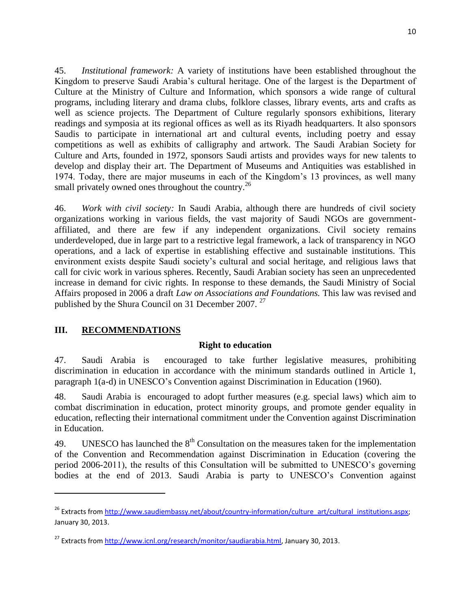45. *Institutional framework:* A variety of institutions have been established throughout the Kingdom to preserve Saudi Arabia's cultural heritage. One of the largest is the Department of Culture at the Ministry of Culture and Information, which sponsors a wide range of cultural programs, including literary and drama clubs, folklore classes, library events, arts and crafts as well as science projects. The Department of Culture regularly sponsors exhibitions, literary readings and symposia at its regional offices as well as its Riyadh headquarters. It also sponsors Saudis to participate in international art and cultural events, including poetry and essay competitions as well as exhibits of calligraphy and artwork. The Saudi Arabian Society for Culture and Arts, founded in 1972, sponsors Saudi artists and provides ways for new talents to develop and display their art. The Department of Museums and Antiquities was established in 1974. Today, there are major museums in each of the Kingdom's 13 provinces, as well many small privately owned ones throughout the country.<sup>26</sup>

46. *Work with civil society:* In Saudi Arabia, although there are hundreds of civil society organizations working in various fields, the vast majority of Saudi NGOs are governmentaffiliated, and there are few if any independent organizations. Civil society remains underdeveloped, due in large part to a restrictive legal framework, a lack of transparency in NGO operations, and a lack of expertise in establishing effective and sustainable institutions. This environment exists despite Saudi society's cultural and social heritage, and religious laws that call for civic work in various spheres. Recently, Saudi Arabian society has seen an unprecedented increase in demand for civic rights. In response to these demands, the Saudi Ministry of Social Affairs proposed in 2006 a draft *Law on Associations and Foundations.* This law was revised and published by the Shura Council on 31 December 2007.<sup>27</sup>

# **III. RECOMMENDATIONS**

 $\overline{\phantom{a}}$ 

#### **Right to education**

47. Saudi Arabia is encouraged to take further legislative measures, prohibiting discrimination in education in accordance with the minimum standards outlined in Article 1, paragraph 1(a-d) in UNESCO's Convention against Discrimination in Education (1960).

48. Saudi Arabia is encouraged to adopt further measures (e.g. special laws) which aim to combat discrimination in education, protect minority groups, and promote gender equality in education, reflecting their international commitment under the Convention against Discrimination in Education.

49. UNESCO has launched the  $8<sup>th</sup>$  Consultation on the measures taken for the implementation of the Convention and Recommendation against Discrimination in Education (covering the period 2006-2011), the results of this Consultation will be submitted to UNESCO's governing bodies at the end of 2013. Saudi Arabia is party to UNESCO's Convention against

<sup>&</sup>lt;sup>26</sup> Extracts from [http://www.saudiembassy.net/about/country-information/culture\\_art/cultural\\_institutions.aspx;](http://www.saudiembassy.net/about/country-information/culture_art/cultural_institutions.aspx) January 30, 2013.

<sup>&</sup>lt;sup>27</sup> Extracts fro[m http://www.icnl.org/research/monitor/saudiarabia.html,](http://www.icnl.org/research/monitor/saudiarabia.html) January 30, 2013.